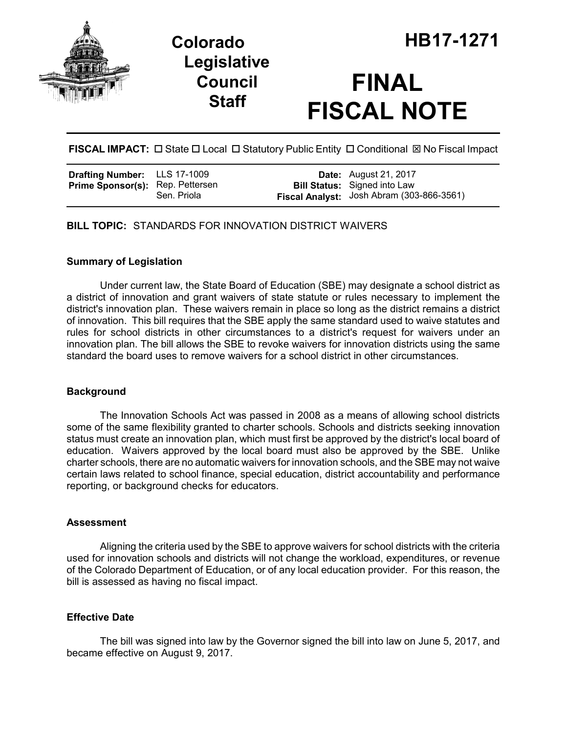

## **Legislative Council Staff**

# **FINAL FISCAL NOTE**

**FISCAL IMPACT:**  $\Box$  State  $\Box$  Local  $\Box$  Statutory Public Entity  $\Box$  Conditional  $\boxtimes$  No Fiscal Impact

**BILL TOPIC:** STANDARDS FOR INNOVATION DISTRICT WAIVERS

## **Summary of Legislation**

Under current law, the State Board of Education (SBE) may designate a school district as a district of innovation and grant waivers of state statute or rules necessary to implement the district's innovation plan. These waivers remain in place so long as the district remains a district of innovation. This bill requires that the SBE apply the same standard used to waive statutes and rules for school districts in other circumstances to a district's request for waivers under an innovation plan. The bill allows the SBE to revoke waivers for innovation districts using the same standard the board uses to remove waivers for a school district in other circumstances.

## **Background**

The Innovation Schools Act was passed in 2008 as a means of allowing school districts some of the same flexibility granted to charter schools. Schools and districts seeking innovation status must create an innovation plan, which must first be approved by the district's local board of education. Waivers approved by the local board must also be approved by the SBE. Unlike charter schools, there are no automatic waivers for innovation schools, and the SBE may not waive certain laws related to school finance, special education, district accountability and performance reporting, or background checks for educators.

## **Assessment**

Aligning the criteria used by the SBE to approve waivers for school districts with the criteria used for innovation schools and districts will not change the workload, expenditures, or revenue of the Colorado Department of Education, or of any local education provider. For this reason, the bill is assessed as having no fiscal impact.

## **Effective Date**

The bill was signed into law by the Governor signed the bill into law on June 5, 2017, and became effective on August 9, 2017.